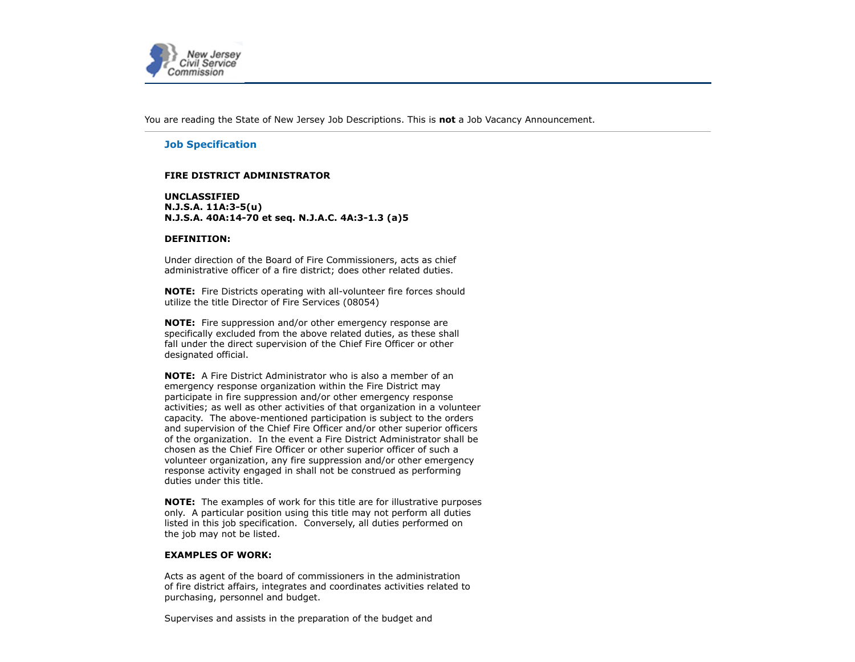

You are reading the State of New Jersey Job Descriptions. This is **not** a Job Vacancy Announcement.

# **Job Specification**

# **FIRE DISTRICT ADMINISTRATOR**

**UNCLASSIFIED N.J.S.A. 11A:3-5(u) N.J.S.A. 40A:14-70 et seq. N.J.A.C. 4A:3-1.3 (a)5**

### **DEFINITION:**

Under direction of the Board of Fire Commissioners, acts as chief administrative officer of a fire district; does other related duties.

**NOTE:** Fire Districts operating with all-volunteer fire forces should utilize the title Director of Fire Services (08054)

**NOTE:** Fire suppression and/or other emergency response are specifically excluded from the above related duties, as these shall fall under the direct supervision of the Chief Fire Officer or other designated official.

**NOTE:** A Fire District Administrator who is also a member of an emergency response organization within the Fire District may participate in fire suppression and/or other emergency response activities; as well as other activities of that organization in a volunteer capacity. The above-mentioned participation is subject to the orders and supervision of the Chief Fire Officer and/or other superior officers of the organization. In the event a Fire District Administrator shall be chosen as the Chief Fire Officer or other superior officer of such a volunteer organization, any fire suppression and/or other emergency response activity engaged in shall not be construed as performing duties under this title.

**NOTE:** The examples of work for this title are for illustrative purposes only. A particular position using this title may not perform all duties listed in this job specification. Conversely, all duties performed on the job may not be listed.

### **EXAMPLES OF WORK:**

Acts as agent of the board of commissioners in the administration of fire district affairs, integrates and coordinates activities related to purchasing, personnel and budget.

Supervises and assists in the preparation of the budget and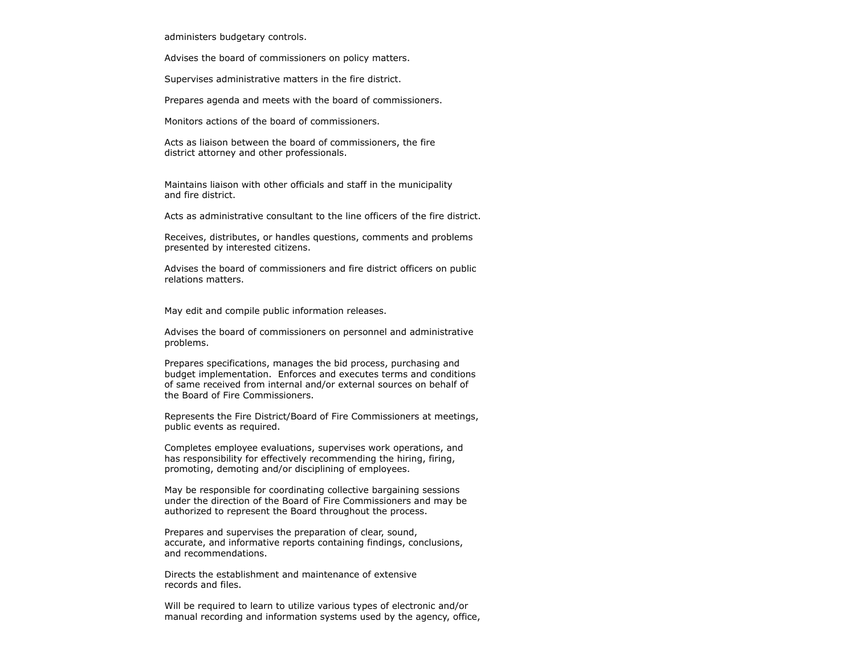administers budgetary controls.

Advises the board of commissioners on policy matters.

Supervises administrative matters in the fire district.

Prepares agenda and meets with the board of commissioners.

Monitors actions of the board of commissioners.

Acts as liaison between the board of commissioners, the fire district attorney and other professionals.

Maintains liaison with other officials and staff in the municipality and fire district.

Acts as administrative consultant to the line officers of the fire district.

Receives, distributes, or handles questions, comments and problems presented by interested citizens.

Advises the board of commissioners and fire district officers on public relations matters.

May edit and compile public information releases.

Advises the board of commissioners on personnel and administrative problems.

Prepares specifications, manages the bid process, purchasing and budget implementation. Enforces and executes terms and conditions of same received from internal and/or external sources on behalf of the Board of Fire Commissioners.

Represents the Fire District/Board of Fire Commissioners at meetings, public events as required.

Completes employee evaluations, supervises work operations, and has responsibility for effectively recommending the hiring, firing, promoting, demoting and/or disciplining of employees.

May be responsible for coordinating collective bargaining sessions under the direction of the Board of Fire Commissioners and may be authorized to represent the Board throughout the process.

Prepares and supervises the preparation of clear, sound, accurate, and informative reports containing findings, conclusions, and recommendations.

Directs the establishment and maintenance of extensive records and files.

Will be required to learn to utilize various types of electronic and/or manual recording and information systems used by the agency, office,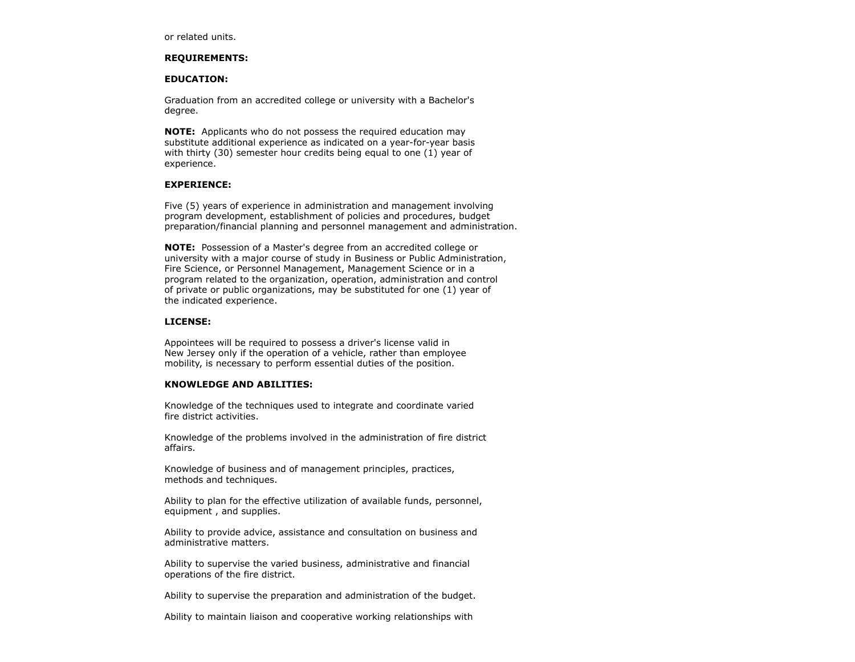or related units.

#### **REQUIREMENTS:**

#### **EDUCATION:**

Graduation from an accredited college or university with a Bachelor's degree.

**NOTE:** Applicants who do not possess the required education may substitute additional experience as indicated on a year-for-year basis with thirty (30) semester hour credits being equal to one (1) year of experience.

### **EXPERIENCE:**

Five (5) years of experience in administration and management involving program development, establishment of policies and procedures, budget preparation/financial planning and personnel management and administration.

**NOTE:** Possession of a Master's degree from an accredited college or university with a major course of study in Business or Public Administration, Fire Science, or Personnel Management, Management Science or in a program related to the organization, operation, administration and control of private or public organizations, may be substituted for one (1) year of the indicated experience.

# **LICENSE:**

Appointees will be required to possess a driver's license valid in New Jersey only if the operation of a vehicle, rather than employee mobility, is necessary to perform essential duties of the position.

# **KNOWLEDGE AND ABILITIES:**

Knowledge of the techniques used to integrate and coordinate varied fire district activities.

Knowledge of the problems involved in the administration of fire district affairs.

Knowledge of business and of management principles, practices, methods and techniques.

Ability to plan for the effective utilization of available funds, personnel, equipment , and supplies.

Ability to provide advice, assistance and consultation on business and administrative matters.

Ability to supervise the varied business, administrative and financial operations of the fire district.

Ability to supervise the preparation and administration of the budget.

Ability to maintain liaison and cooperative working relationships with